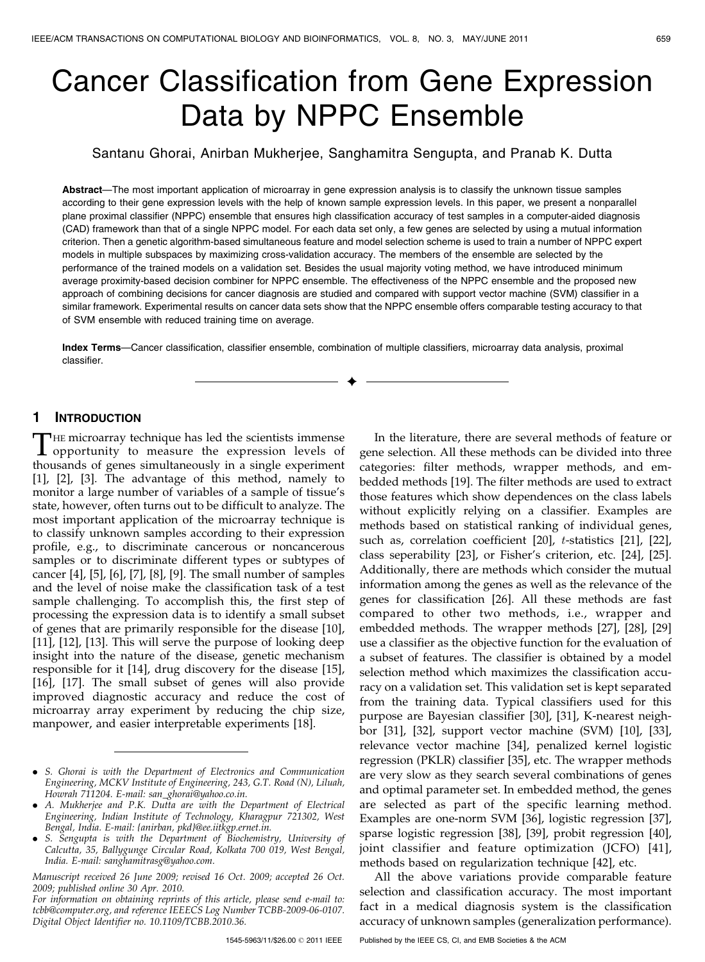# Cancer Classification from Gene Expression Data by NPPC Ensemble

Santanu Ghorai, Anirban Mukherjee, Sanghamitra Sengupta, and Pranab K. Dutta

Abstract—The most important application of microarray in gene expression analysis is to classify the unknown tissue samples according to their gene expression levels with the help of known sample expression levels. In this paper, we present a nonparallel plane proximal classifier (NPPC) ensemble that ensures high classification accuracy of test samples in a computer-aided diagnosis (CAD) framework than that of a single NPPC model. For each data set only, a few genes are selected by using a mutual information criterion. Then a genetic algorithm-based simultaneous feature and model selection scheme is used to train a number of NPPC expert models in multiple subspaces by maximizing cross-validation accuracy. The members of the ensemble are selected by the performance of the trained models on a validation set. Besides the usual majority voting method, we have introduced minimum average proximity-based decision combiner for NPPC ensemble. The effectiveness of the NPPC ensemble and the proposed new approach of combining decisions for cancer diagnosis are studied and compared with support vector machine (SVM) classifier in a similar framework. Experimental results on cancer data sets show that the NPPC ensemble offers comparable testing accuracy to that of SVM ensemble with reduced training time on average.

Index Terms—Cancer classification, classifier ensemble, combination of multiple classifiers, microarray data analysis, proximal classifier.

 $\ddotmark$ 

# 1 INTRODUCTION

THE microarray technique has led the scientists immense<br>opportunity to measure the expression levels of<br>thousands of canos simultaneously in a single experiment THE microarray technique has led the scientists immense thousands of genes simultaneously in a single experiment [1], [2], [3]. The advantage of this method, namely to monitor a large number of variables of a sample of tissue's state, however, often turns out to be difficult to analyze. The most important application of the microarray technique is to classify unknown samples according to their expression profile, e.g., to discriminate cancerous or noncancerous samples or to discriminate different types or subtypes of cancer [4], [5], [6], [7], [8], [9]. The small number of samples and the level of noise make the classification task of a test sample challenging. To accomplish this, the first step of processing the expression data is to identify a small subset of genes that are primarily responsible for the disease [10], [11], [12], [13]. This will serve the purpose of looking deep insight into the nature of the disease, genetic mechanism responsible for it [14], drug discovery for the disease [15], [16], [17]. The small subset of genes will also provide improved diagnostic accuracy and reduce the cost of microarray array experiment by reducing the chip size, manpower, and easier interpretable experiments [18].

- . *S. Ghorai is with the Department of Electronics and Communication Engineering, MCKV Institute of Engineering, 243, G.T. Road (N), Liluah, Howrah 711204. E-mail: san\_ghorai@yahoo.co.in.*
- . *A. Mukherjee and P.K. Dutta are with the Department of Electrical Engineering, Indian Institute of Technology, Kharagpur 721302, West Bengal, India. E-mail: {anirban, pkd}@ee.iitkgp.ernet.in.*
- . *S. Sengupta is with the Department of Biochemistry, University of Calcutta, 35, Ballygunge Circular Road, Kolkata 700 019, West Bengal, India. E-mail: sanghamitrasg@yahoo.com.*

categories: filter methods, wrapper methods, and embedded methods [19]. The filter methods are used to extract those features which show dependences on the class labels without explicitly relying on a classifier. Examples are methods based on statistical ranking of individual genes, such as, correlation coefficient [20], t-statistics [21], [22], class seperability [23], or Fisher's criterion, etc. [24], [25]. Additionally, there are methods which consider the mutual information among the genes as well as the relevance of the genes for classification [26]. All these methods are fast compared to other two methods, i.e., wrapper and embedded methods. The wrapper methods [27], [28], [29] use a classifier as the objective function for the evaluation of a subset of features. The classifier is obtained by a model selection method which maximizes the classification accuracy on a validation set. This validation set is kept separated from the training data. Typical classifiers used for this purpose are Bayesian classifier [30], [31], K-nearest neighbor [31], [32], support vector machine (SVM) [10], [33], relevance vector machine [34], penalized kernel logistic regression (PKLR) classifier [35], etc. The wrapper methods are very slow as they search several combinations of genes and optimal parameter set. In embedded method, the genes are selected as part of the specific learning method. Examples are one-norm SVM [36], logistic regression [37], sparse logistic regression [38], [39], probit regression [40], joint classifier and feature optimization (JCFO) [41], methods based on regularization technique [42], etc.

In the literature, there are several methods of feature or gene selection. All these methods can be divided into three

All the above variations provide comparable feature selection and classification accuracy. The most important fact in a medical diagnosis system is the classification accuracy of unknown samples (generalization performance).

*Manuscript received 26 June 2009; revised 16 Oct. 2009; accepted 26 Oct. 2009; published online 30 Apr. 2010.*

*For information on obtaining reprints of this article, please send e-mail to: tcbb@computer.org, and reference IEEECS Log Number TCBB-2009-06-0107. Digital Object Identifier no. 10.1109/TCBB.2010.36.*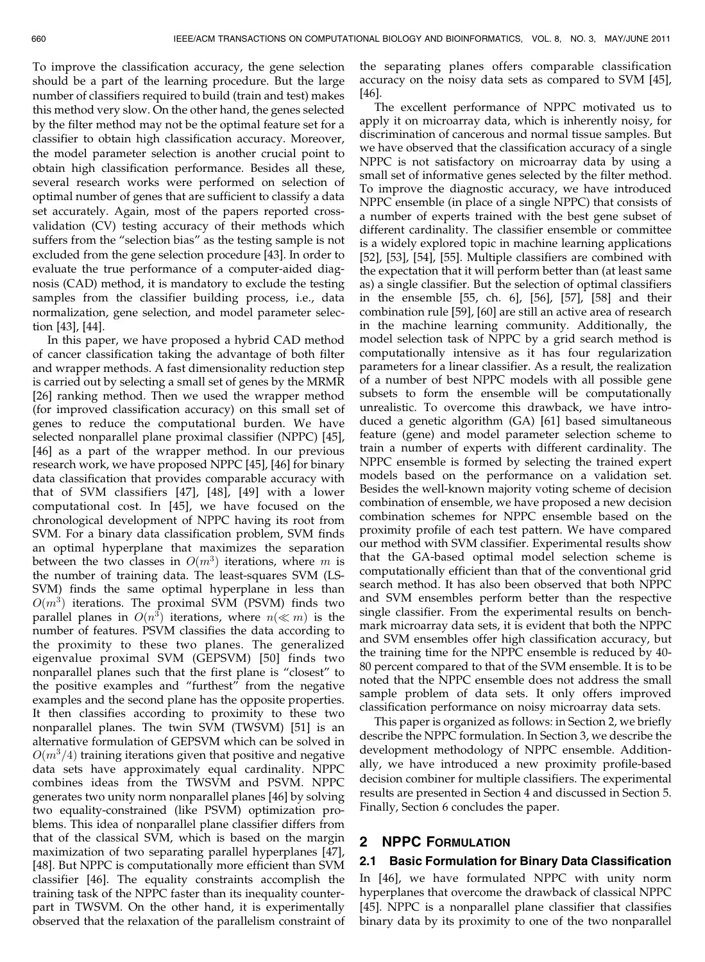To improve the classification accuracy, the gene selection should be a part of the learning procedure. But the large number of classifiers required to build (train and test) makes this method very slow. On the other hand, the genes selected by the filter method may not be the optimal feature set for a classifier to obtain high classification accuracy. Moreover, the model parameter selection is another crucial point to obtain high classification performance. Besides all these, several research works were performed on selection of optimal number of genes that are sufficient to classify a data set accurately. Again, most of the papers reported crossvalidation (CV) testing accuracy of their methods which suffers from the "selection bias" as the testing sample is not excluded from the gene selection procedure [43]. In order to evaluate the true performance of a computer-aided diagnosis (CAD) method, it is mandatory to exclude the testing samples from the classifier building process, i.e., data normalization, gene selection, and model parameter selection [43], [44].

In this paper, we have proposed a hybrid CAD method of cancer classification taking the advantage of both filter and wrapper methods. A fast dimensionality reduction step is carried out by selecting a small set of genes by the MRMR [26] ranking method. Then we used the wrapper method (for improved classification accuracy) on this small set of genes to reduce the computational burden. We have selected nonparallel plane proximal classifier (NPPC) [45], [46] as a part of the wrapper method. In our previous research work, we have proposed NPPC [45], [46] for binary data classification that provides comparable accuracy with that of SVM classifiers [47], [48], [49] with a lower computational cost. In [45], we have focused on the chronological development of NPPC having its root from SVM. For a binary data classification problem, SVM finds an optimal hyperplane that maximizes the separation between the two classes in  $O(m^3)$  iterations, where m is the number of training data. The least-squares SVM (LS-SVM) finds the same optimal hyperplane in less than  $O(m^3)$  iterations. The proximal SVM (PSVM) finds two parallel planes in  $O(n^3)$  iterations, where  $n (\ll m)$  is the number of features. PSVM classifies the data according to the proximity to these two planes. The generalized eigenvalue proximal SVM (GEPSVM) [50] finds two nonparallel planes such that the first plane is "closest" to the positive examples and "furthest" from the negative examples and the second plane has the opposite properties. It then classifies according to proximity to these two nonparallel planes. The twin SVM (TWSVM) [51] is an alternative formulation of GEPSVM which can be solved in  $O(m^3/4)$  training iterations given that positive and negative data sets have approximately equal cardinality. NPPC combines ideas from the TWSVM and PSVM. NPPC generates two unity norm nonparallel planes [46] by solving two equality-constrained (like PSVM) optimization problems. This idea of nonparallel plane classifier differs from that of the classical SVM, which is based on the margin maximization of two separating parallel hyperplanes [47], [48]. But NPPC is computationally more efficient than SVM classifier [46]. The equality constraints accomplish the training task of the NPPC faster than its inequality counterpart in TWSVM. On the other hand, it is experimentally observed that the relaxation of the parallelism constraint of the separating planes offers comparable classification accuracy on the noisy data sets as compared to SVM [45], [46].

The excellent performance of NPPC motivated us to apply it on microarray data, which is inherently noisy, for discrimination of cancerous and normal tissue samples. But we have observed that the classification accuracy of a single NPPC is not satisfactory on microarray data by using a small set of informative genes selected by the filter method. To improve the diagnostic accuracy, we have introduced NPPC ensemble (in place of a single NPPC) that consists of a number of experts trained with the best gene subset of different cardinality. The classifier ensemble or committee is a widely explored topic in machine learning applications [52], [53], [54], [55]. Multiple classifiers are combined with the expectation that it will perform better than (at least same as) a single classifier. But the selection of optimal classifiers in the ensemble [55, ch. 6], [56], [57], [58] and their combination rule [59], [60] are still an active area of research in the machine learning community. Additionally, the model selection task of NPPC by a grid search method is computationally intensive as it has four regularization parameters for a linear classifier. As a result, the realization of a number of best NPPC models with all possible gene subsets to form the ensemble will be computationally unrealistic. To overcome this drawback, we have introduced a genetic algorithm (GA) [61] based simultaneous feature (gene) and model parameter selection scheme to train a number of experts with different cardinality. The NPPC ensemble is formed by selecting the trained expert models based on the performance on a validation set. Besides the well-known majority voting scheme of decision combination of ensemble, we have proposed a new decision combination schemes for NPPC ensemble based on the proximity profile of each test pattern. We have compared our method with SVM classifier. Experimental results show that the GA-based optimal model selection scheme is computationally efficient than that of the conventional grid search method. It has also been observed that both NPPC and SVM ensembles perform better than the respective single classifier. From the experimental results on benchmark microarray data sets, it is evident that both the NPPC and SVM ensembles offer high classification accuracy, but the training time for the NPPC ensemble is reduced by 40- 80 percent compared to that of the SVM ensemble. It is to be noted that the NPPC ensemble does not address the small sample problem of data sets. It only offers improved classification performance on noisy microarray data sets.

This paper is organized as follows: in Section 2, we briefly describe the NPPC formulation. In Section 3, we describe the development methodology of NPPC ensemble. Additionally, we have introduced a new proximity profile-based decision combiner for multiple classifiers. The experimental results are presented in Section 4 and discussed in Section 5. Finally, Section 6 concludes the paper.

# 2 NPPC FORMULATION

# 2.1 Basic Formulation for Binary Data Classification

In [46], we have formulated NPPC with unity norm hyperplanes that overcome the drawback of classical NPPC [45]. NPPC is a nonparallel plane classifier that classifies binary data by its proximity to one of the two nonparallel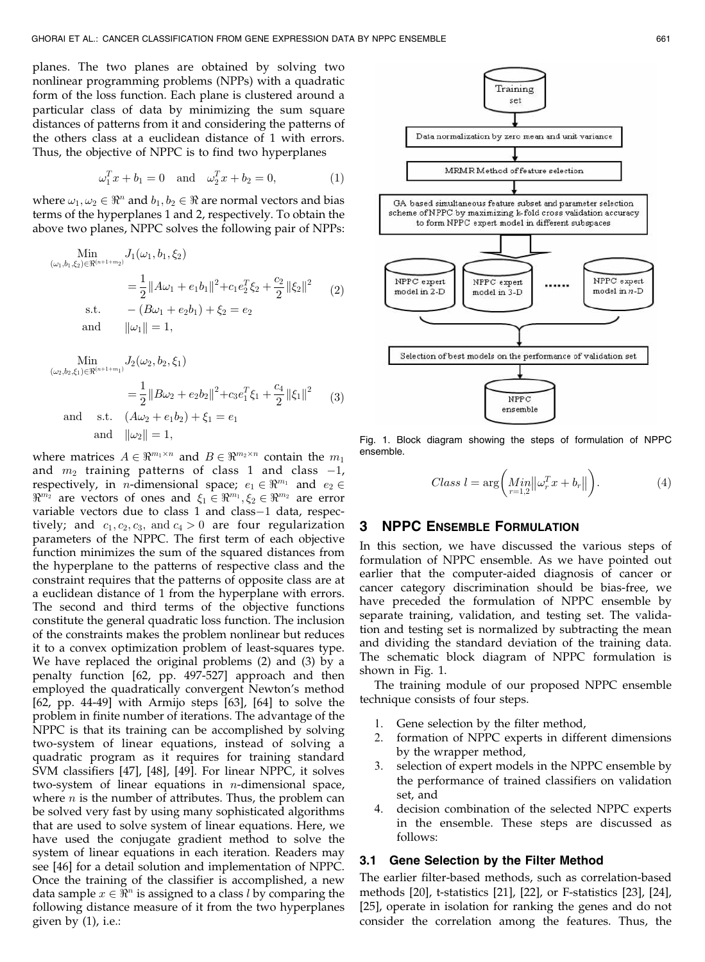planes. The two planes are obtained by solving two nonlinear programming problems (NPPs) with a quadratic form of the loss function. Each plane is clustered around a particular class of data by minimizing the sum square distances of patterns from it and considering the patterns of the others class at a euclidean distance of 1 with errors. Thus, the objective of NPPC is to find two hyperplanes

$$
\omega_1^T x + b_1 = 0 \text{ and } \omega_2^T x + b_2 = 0,
$$
 (1)

where  $\omega_1, \omega_2 \in \Re^n$  and  $b_1, b_2 \in \Re$  are normal vectors and bias terms of the hyperplanes 1 and 2, respectively. To obtain the above two planes, NPPC solves the following pair of NPPs:

$$
\begin{aligned}\n\min_{(\omega_1, b_1, \xi_2) \in \mathbb{R}^{(n+1+m_2)}} J_1(\omega_1, b_1, \xi_2) \\
&= \frac{1}{2} \|A\omega_1 + e_1 b_1\|^2 + c_1 e_2^T \xi_2 + \frac{c_2}{2} \| \xi_2 \|^2 \\
\text{s.t.} \quad & -\left(B\omega_1 + e_2 b_1\right) + \xi_2 = e_2 \\
\text{and} \quad & \|\omega_1\| = 1,\n\end{aligned}\n\tag{2}
$$

 $\lim_{(\omega_2,b_2,\xi_1)\in\Re^{(n+1+m_1)}}\!\!J_2(\omega_2,b_2,\xi_1)$  $=\frac{1}{2}$  $\frac{1}{2}||B\omega_2 + e_2b_2||^2 + c_3e_1^T\xi_1 + \frac{c_4}{2}$  $\frac{24}{2}$   $\|\xi_1\|^2$ and s.t.  $(A\omega_2 + e_1b_2) + \xi_1 = e_1$ and  $\|\omega_2\| = 1$ ,  $(3)$ 

where matrices  $A \in \mathbb{R}^{m_1 \times n}$  and  $B \in \mathbb{R}^{m_2 \times n}$  contain the  $m_1$ and  $m_2$  training patterns of class 1 and class -1, respectively, in *n*-dimensional space;  $e_1 \in \mathbb{R}^{m_1}$  and  $e_2 \in$  $\Re^{m_2}$  are vectors of ones and  $\xi_1 \in \Re^{m_1}, \xi_2 \in \Re^{m_2}$  are error variable vectors due to class  $1$  and class $-1$  data, respectively; and  $c_1, c_2, c_3$ , and  $c_4 > 0$  are four regularization parameters of the NPPC. The first term of each objective function minimizes the sum of the squared distances from the hyperplane to the patterns of respective class and the constraint requires that the patterns of opposite class are at a euclidean distance of 1 from the hyperplane with errors. The second and third terms of the objective functions constitute the general quadratic loss function. The inclusion of the constraints makes the problem nonlinear but reduces it to a convex optimization problem of least-squares type. We have replaced the original problems (2) and (3) by a penalty function [62, pp. 497-527] approach and then employed the quadratically convergent Newton's method [62, pp. 44-49] with Armijo steps [63], [64] to solve the problem in finite number of iterations. The advantage of the NPPC is that its training can be accomplished by solving two-system of linear equations, instead of solving a quadratic program as it requires for training standard SVM classifiers [47], [48], [49]. For linear NPPC, it solves two-system of linear equations in *n*-dimensional space, where  $n$  is the number of attributes. Thus, the problem can be solved very fast by using many sophisticated algorithms that are used to solve system of linear equations. Here, we have used the conjugate gradient method to solve the system of linear equations in each iteration. Readers may see [46] for a detail solution and implementation of NPPC. Once the training of the classifier is accomplished, a new data sample  $x \in \tilde{\Re}^n$  is assigned to a class l by comparing the following distance measure of it from the two hyperplanes given by (1), i.e.:



Fig. 1. Block diagram showing the steps of formulation of NPPC ensemble.

$$
Class \ l = \arg\bigg(Min||\omega_r^T x + b_r||\bigg). \tag{4}
$$

# 3 NPPC ENSEMBLE FORMULATION

In this section, we have discussed the various steps of formulation of NPPC ensemble. As we have pointed out earlier that the computer-aided diagnosis of cancer or cancer category discrimination should be bias-free, we have preceded the formulation of NPPC ensemble by separate training, validation, and testing set. The validation and testing set is normalized by subtracting the mean and dividing the standard deviation of the training data. The schematic block diagram of NPPC formulation is shown in Fig. 1.

The training module of our proposed NPPC ensemble technique consists of four steps.

- 1. Gene selection by the filter method,
- 2. formation of NPPC experts in different dimensions by the wrapper method,
- 3. selection of expert models in the NPPC ensemble by the performance of trained classifiers on validation set, and
- 4. decision combination of the selected NPPC experts in the ensemble. These steps are discussed as follows:

#### 3.1 Gene Selection by the Filter Method

The earlier filter-based methods, such as correlation-based methods [20], t-statistics [21], [22], or F-statistics [23], [24], [25], operate in isolation for ranking the genes and do not consider the correlation among the features. Thus, the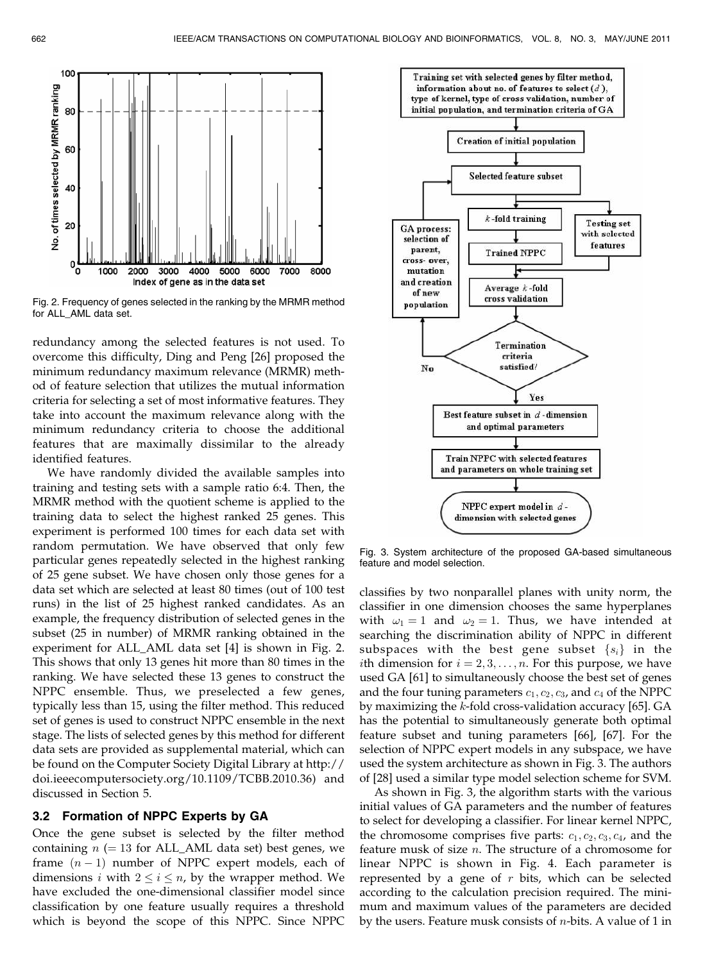

Fig. 2. Frequency of genes selected in the ranking by the MRMR method for ALL\_AML data set.

redundancy among the selected features is not used. To overcome this difficulty, Ding and Peng [26] proposed the minimum redundancy maximum relevance (MRMR) method of feature selection that utilizes the mutual information criteria for selecting a set of most informative features. They take into account the maximum relevance along with the minimum redundancy criteria to choose the additional features that are maximally dissimilar to the already identified features.

We have randomly divided the available samples into training and testing sets with a sample ratio 6:4. Then, the MRMR method with the quotient scheme is applied to the training data to select the highest ranked 25 genes. This experiment is performed 100 times for each data set with random permutation. We have observed that only few particular genes repeatedly selected in the highest ranking of 25 gene subset. We have chosen only those genes for a data set which are selected at least 80 times (out of 100 test runs) in the list of 25 highest ranked candidates. As an example, the frequency distribution of selected genes in the subset (25 in number) of MRMR ranking obtained in the experiment for ALL\_AML data set [4] is shown in Fig. 2. This shows that only 13 genes hit more than 80 times in the ranking. We have selected these 13 genes to construct the NPPC ensemble. Thus, we preselected a few genes, typically less than 15, using the filter method. This reduced set of genes is used to construct NPPC ensemble in the next stage. The lists of selected genes by this method for different data sets are provided as supplemental material, which can be found on the Computer Society Digital Library at http:// doi.ieeecomputersociety.org/10.1109/TCBB.2010.36) and discussed in Section 5.

# 3.2 Formation of NPPC Experts by GA

Once the gene subset is selected by the filter method containing  $n (= 13$  for ALL\_AML data set) best genes, we frame  $(n - 1)$  number of NPPC expert models, each of dimensions *i* with  $2 \le i \le n$ , by the wrapper method. We have excluded the one-dimensional classifier model since classification by one feature usually requires a threshold which is beyond the scope of this NPPC. Since NPPC



Fig. 3. System architecture of the proposed GA-based simultaneous feature and model selection.

classifies by two nonparallel planes with unity norm, the classifier in one dimension chooses the same hyperplanes with  $\omega_1 = 1$  and  $\omega_2 = 1$ . Thus, we have intended at searching the discrimination ability of NPPC in different subspaces with the best gene subset  $\{s_i\}$  in the *i*th dimension for  $i = 2, 3, \ldots, n$ . For this purpose, we have used GA [61] to simultaneously choose the best set of genes and the four tuning parameters  $c_1, c_2, c_3$ , and  $c_4$  of the NPPC by maximizing the k-fold cross-validation accuracy [65]. GA has the potential to simultaneously generate both optimal feature subset and tuning parameters [66], [67]. For the selection of NPPC expert models in any subspace, we have used the system architecture as shown in Fig. 3. The authors of [28] used a similar type model selection scheme for SVM.

As shown in Fig. 3, the algorithm starts with the various initial values of GA parameters and the number of features to select for developing a classifier. For linear kernel NPPC, the chromosome comprises five parts:  $c_1$ ,  $c_2$ ,  $c_3$ ,  $c_4$ , and the feature musk of size  $n$ . The structure of a chromosome for linear NPPC is shown in Fig. 4. Each parameter is represented by a gene of  $r$  bits, which can be selected according to the calculation precision required. The minimum and maximum values of the parameters are decided by the users. Feature musk consists of  $n$ -bits. A value of 1 in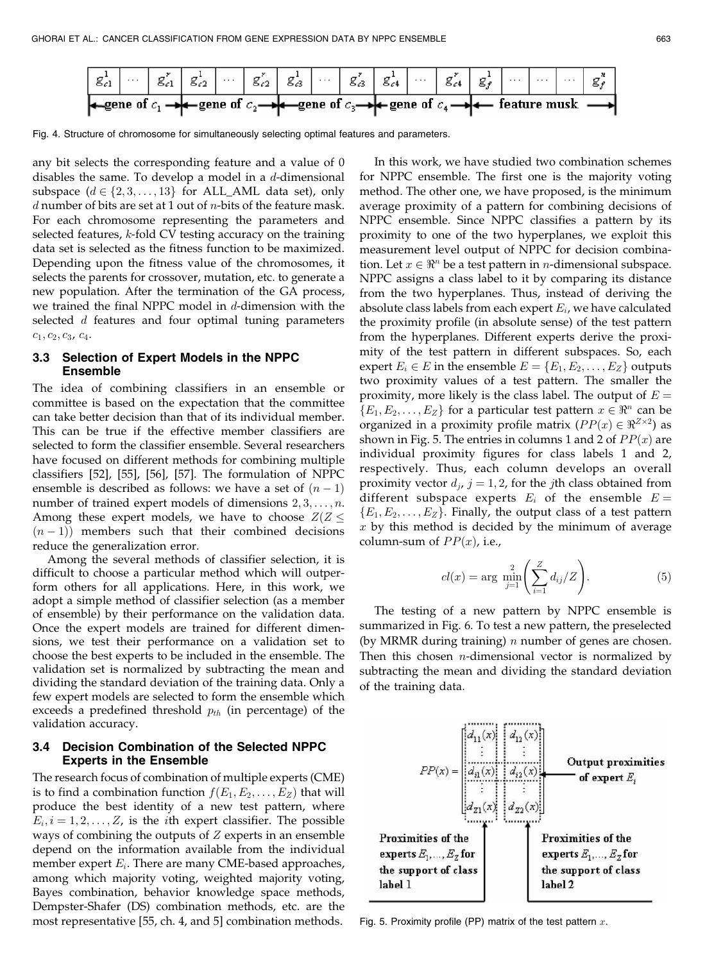

Fig. 4. Structure of chromosome for simultaneously selecting optimal features and parameters.

any bit selects the corresponding feature and a value of 0 disables the same. To develop a model in a  $d$ -dimensional subspace  $(d \in \{2, 3, ..., 13\})$  for ALL\_AML data set), only  $d$  number of bits are set at 1 out of  $n$ -bits of the feature mask. For each chromosome representing the parameters and selected features,  $k$ -fold CV testing accuracy on the training data set is selected as the fitness function to be maximized. Depending upon the fitness value of the chromosomes, it selects the parents for crossover, mutation, etc. to generate a new population. After the termination of the GA process, we trained the final NPPC model in  $d$ -dimension with the selected *d* features and four optimal tuning parameters  $c_1, c_2, c_3, c_4.$ 

# 3.3 Selection of Expert Models in the NPPC Ensemble

The idea of combining classifiers in an ensemble or committee is based on the expectation that the committee can take better decision than that of its individual member. This can be true if the effective member classifiers are selected to form the classifier ensemble. Several researchers have focused on different methods for combining multiple classifiers [52], [55], [56], [57]. The formulation of NPPC ensemble is described as follows: we have a set of  $(n - 1)$ number of trained expert models of dimensions  $2, 3, \ldots, n$ . Among these expert models, we have to choose  $Z/Z \leq$  $(n-1)$ ) members such that their combined decisions reduce the generalization error.

Among the several methods of classifier selection, it is difficult to choose a particular method which will outperform others for all applications. Here, in this work, we adopt a simple method of classifier selection (as a member of ensemble) by their performance on the validation data. Once the expert models are trained for different dimensions, we test their performance on a validation set to choose the best experts to be included in the ensemble. The validation set is normalized by subtracting the mean and dividing the standard deviation of the training data. Only a few expert models are selected to form the ensemble which exceeds a predefined threshold  $p_{th}$  (in percentage) of the validation accuracy.

## 3.4 Decision Combination of the Selected NPPC Experts in the Ensemble

The research focus of combination of multiple experts (CME) is to find a combination function  $f(E_1, E_2, \ldots, E_Z)$  that will produce the best identity of a new test pattern, where  $E_i$ ,  $i = 1, 2, \ldots, Z$ , is the *i*th expert classifier. The possible ways of combining the outputs of  $Z$  experts in an ensemble depend on the information available from the individual member expert  $E_i$ . There are many CME-based approaches, among which majority voting, weighted majority voting, Bayes combination, behavior knowledge space methods, Dempster-Shafer (DS) combination methods, etc. are the most representative [55, ch. 4, and 5] combination methods.

In this work, we have studied two combination schemes for NPPC ensemble. The first one is the majority voting method. The other one, we have proposed, is the minimum average proximity of a pattern for combining decisions of NPPC ensemble. Since NPPC classifies a pattern by its proximity to one of the two hyperplanes, we exploit this measurement level output of NPPC for decision combination. Let  $x \in \mathbb{R}^n$  be a test pattern in *n*-dimensional subspace. NPPC assigns a class label to it by comparing its distance from the two hyperplanes. Thus, instead of deriving the absolute class labels from each expert  $E_i$ , we have calculated the proximity profile (in absolute sense) of the test pattern from the hyperplanes. Different experts derive the proximity of the test pattern in different subspaces. So, each expert  $E_i \in E$  in the ensemble  $E = \{E_1, E_2, \ldots, E_Z\}$  outputs two proximity values of a test pattern. The smaller the proximity, more likely is the class label. The output of  $E =$  ${E_1, E_2, \ldots, E_Z}$  for a particular test pattern  $x \in \Re^n$  can be organized in a proximity profile matrix  $(PP(x) \in \Re^{Z \times 2})$  as shown in Fig. 5. The entries in columns 1 and 2 of  $PP(x)$  are individual proximity figures for class labels 1 and 2, respectively. Thus, each column develops an overall proximity vector  $d_j$ ,  $j = 1, 2$ , for the *j*th class obtained from different subspace experts  $E_i$  of the ensemble  $E =$  ${E_1, E_2, \ldots, E_Z}$ . Finally, the output class of a test pattern  $x$  by this method is decided by the minimum of average column-sum of  $PP(x)$ , i.e.,

$$
cl(x) = \arg \ \min_{j=1}^{2} \left( \sum_{i=1}^{Z} d_{ij}/Z \right). \tag{5}
$$

The testing of a new pattern by NPPC ensemble is summarized in Fig. 6. To test a new pattern, the preselected (by MRMR during training)  $n$  number of genes are chosen. Then this chosen  $n$ -dimensional vector is normalized by subtracting the mean and dividing the standard deviation of the training data.



Fig. 5. Proximity profile (PP) matrix of the test pattern  $x$ .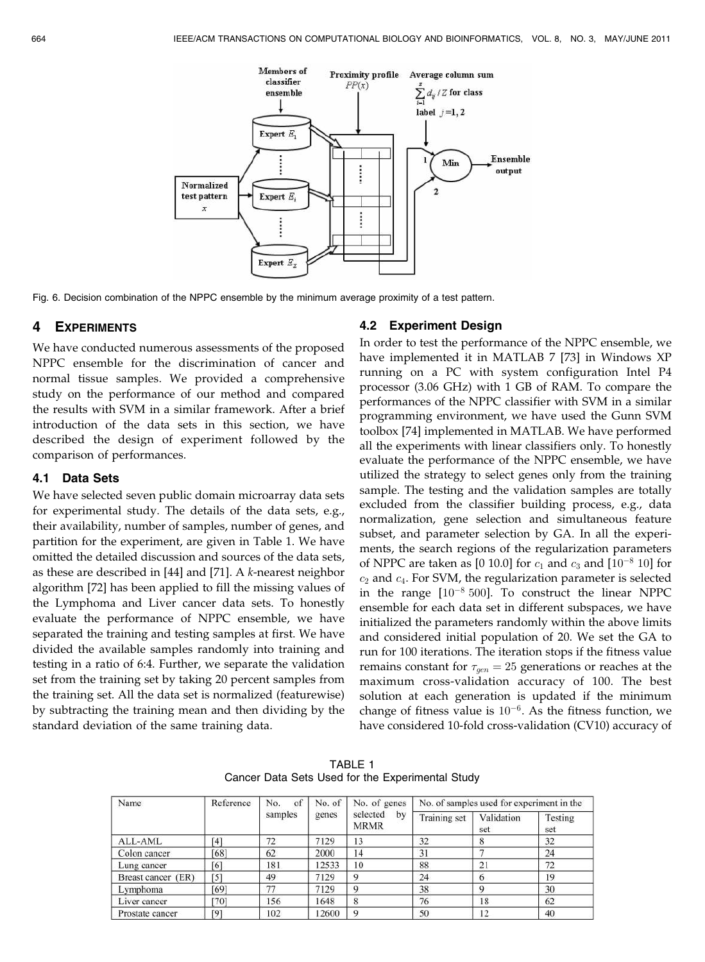

Fig. 6. Decision combination of the NPPC ensemble by the minimum average proximity of a test pattern.

# 4 EXPERIMENTS

We have conducted numerous assessments of the proposed NPPC ensemble for the discrimination of cancer and normal tissue samples. We provided a comprehensive study on the performance of our method and compared the results with SVM in a similar framework. After a brief introduction of the data sets in this section, we have described the design of experiment followed by the comparison of performances.

#### 4.1 Data Sets

We have selected seven public domain microarray data sets for experimental study. The details of the data sets, e.g., their availability, number of samples, number of genes, and partition for the experiment, are given in Table 1. We have omitted the detailed discussion and sources of the data sets, as these are described in [44] and [71]. A *k*-nearest neighbor algorithm [72] has been applied to fill the missing values of the Lymphoma and Liver cancer data sets. To honestly evaluate the performance of NPPC ensemble, we have separated the training and testing samples at first. We have divided the available samples randomly into training and testing in a ratio of 6:4. Further, we separate the validation set from the training set by taking 20 percent samples from the training set. All the data set is normalized (featurewise) by subtracting the training mean and then dividing by the standard deviation of the same training data.

#### 4.2 Experiment Design

In order to test the performance of the NPPC ensemble, we have implemented it in MATLAB 7 [73] in Windows XP running on a PC with system configuration Intel P4 processor (3.06 GHz) with 1 GB of RAM. To compare the performances of the NPPC classifier with SVM in a similar programming environment, we have used the Gunn SVM toolbox [74] implemented in MATLAB. We have performed all the experiments with linear classifiers only. To honestly evaluate the performance of the NPPC ensemble, we have utilized the strategy to select genes only from the training sample. The testing and the validation samples are totally excluded from the classifier building process, e.g., data normalization, gene selection and simultaneous feature subset, and parameter selection by GA. In all the experiments, the search regions of the regularization parameters of NPPC are taken as [0 10.0] for  $c_1$  and  $c_3$  and [10<sup>-8</sup> 10] for  $c_2$  and  $c_4$ . For SVM, the regularization parameter is selected in the range  $[10^{-8} 500]$ . To construct the linear NPPC ensemble for each data set in different subspaces, we have initialized the parameters randomly within the above limits and considered initial population of 20. We set the GA to run for 100 iterations. The iteration stops if the fitness value remains constant for  $\tau_{gen} = 25$  generations or reaches at the maximum cross-validation accuracy of 100. The best solution at each generation is updated if the minimum change of fitness value is  $10^{-6}$ . As the fitness function, we have considered 10-fold cross-validation (CV10) accuracy of

TABLE 1 Cancer Data Sets Used for the Experimental Study

| Name               | Reference         | No.<br>of<br>samples | No. of<br>genes | No. of genes<br>selected<br>by<br><b>MRMR</b> | No. of samples used for experiment in the |                   |                |
|--------------------|-------------------|----------------------|-----------------|-----------------------------------------------|-------------------------------------------|-------------------|----------------|
|                    |                   |                      |                 |                                               | Training set                              | Validation<br>set | Testing<br>set |
| ALL-AML            | $\left 4\right $  | 72                   | 7129            | 13                                            | 32                                        |                   | 32             |
| Colon cancer       | [68]              | 62                   | 2000            | 14                                            | 31                                        |                   | 24             |
| Lung cancer        | $[6]$             | 181                  | 12533           | 10                                            | 88                                        | 21                | 72             |
| Breast cancer (ER) | $\lceil 5 \rceil$ | 49                   | 7129            | 9                                             | 24                                        | 6                 | 19             |
| Lymphoma           | [69]              | 77                   | 7129            | 9                                             | 38                                        | 9                 | 30             |
| Liver cancer       | 701               | 156                  | 1648            | 8                                             | 76                                        | 18                | 62             |
| Prostate cancer    | [9]               | 102                  | 12600           | Q                                             | 50                                        | 12                | 40             |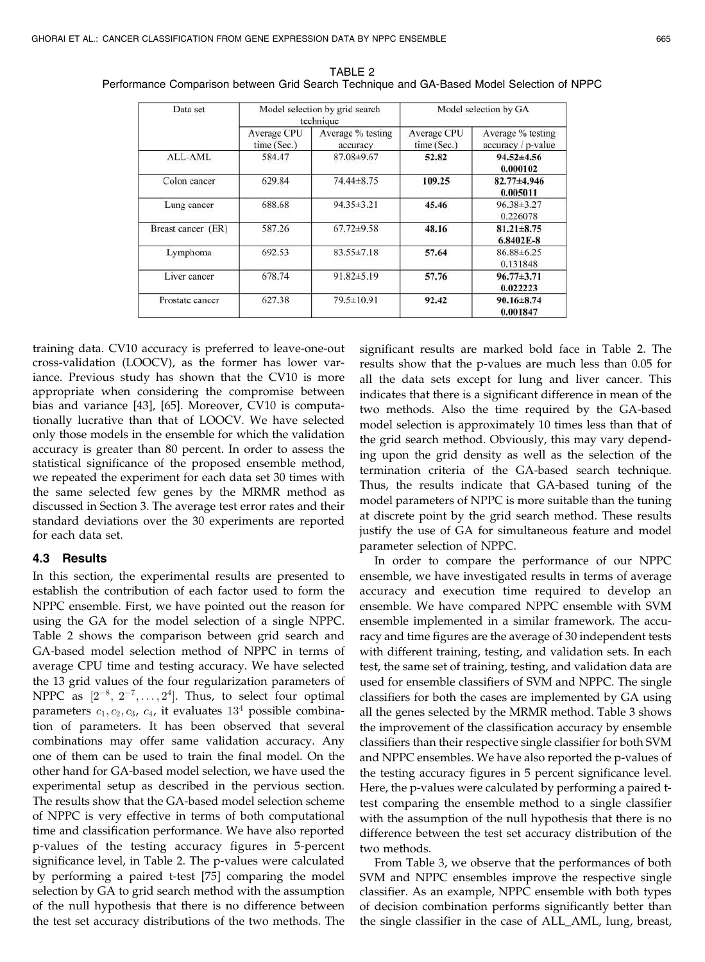| Data set           |                            | Model selection by grid search<br>technique | Model selection by GA      |                                         |  |
|--------------------|----------------------------|---------------------------------------------|----------------------------|-----------------------------------------|--|
|                    | Average CPU<br>time (Sec.) | Average % testing<br>accuracy               | Average CPU<br>time (Sec.) | Average % testing<br>accuracy / p-value |  |
| ALL-AML            | 584.47                     | 87.08±9.67                                  | 52.82                      | $94.52 \pm 4.56$<br>0.000102            |  |
| Colon cancer       | 629.84                     | 74.44±8.75                                  | 109.25                     | 82.77±4.946<br>0.005011                 |  |
| Lung cancer        | 688.68                     | 94.35±3.21                                  | 45.46                      | $96.38 \pm 3.27$<br>0.226078            |  |
| Breast cancer (ER) | 587.26                     | $67.72 \pm 9.58$                            | 48.16                      | $81.21 \pm 8.75$<br>6.8402E-8           |  |
| Lymphoma           | 692.53                     | $83.55 \pm 7.18$                            | 57.64                      | 86.88±6.25<br>0.131848                  |  |
| Liver cancer       | 678.74                     | $91.82 \pm 5.19$                            | 57.76                      | $96.77 \pm 3.71$<br>0.022223            |  |
| Prostate cancer    | 627.38                     | 79.5±10.91                                  | 92.42                      | $90.16 \pm 8.74$<br>0.001847            |  |

TARI F 2 Performance Comparison between Grid Search Technique and GA-Based Model Selection of NPPC

training data. CV10 accuracy is preferred to leave-one-out cross-validation (LOOCV), as the former has lower variance. Previous study has shown that the CV10 is more appropriate when considering the compromise between bias and variance [43], [65]. Moreover, CV10 is computationally lucrative than that of LOOCV. We have selected only those models in the ensemble for which the validation accuracy is greater than 80 percent. In order to assess the statistical significance of the proposed ensemble method, we repeated the experiment for each data set 30 times with the same selected few genes by the MRMR method as discussed in Section 3. The average test error rates and their standard deviations over the 30 experiments are reported for each data set.

#### 4.3 Results

In this section, the experimental results are presented to establish the contribution of each factor used to form the NPPC ensemble. First, we have pointed out the reason for using the GA for the model selection of a single NPPC. Table 2 shows the comparison between grid search and GA-based model selection method of NPPC in terms of average CPU time and testing accuracy. We have selected the 13 grid values of the four regularization parameters of NPPC as  $[2^{-8}, 2^{-7}, \ldots, 2^{4}]$ . Thus, to select four optimal parameters  $c_1, c_2, c_3, c_4$ , it evaluates  $13<sup>4</sup>$  possible combination of parameters. It has been observed that several combinations may offer same validation accuracy. Any one of them can be used to train the final model. On the other hand for GA-based model selection, we have used the experimental setup as described in the pervious section. The results show that the GA-based model selection scheme of NPPC is very effective in terms of both computational time and classification performance. We have also reported p-values of the testing accuracy figures in 5-percent significance level, in Table 2. The p-values were calculated by performing a paired t-test [75] comparing the model selection by GA to grid search method with the assumption of the null hypothesis that there is no difference between the test set accuracy distributions of the two methods. The

significant results are marked bold face in Table 2. The results show that the p-values are much less than 0.05 for all the data sets except for lung and liver cancer. This indicates that there is a significant difference in mean of the two methods. Also the time required by the GA-based model selection is approximately 10 times less than that of the grid search method. Obviously, this may vary depending upon the grid density as well as the selection of the termination criteria of the GA-based search technique. Thus, the results indicate that GA-based tuning of the model parameters of NPPC is more suitable than the tuning at discrete point by the grid search method. These results justify the use of GA for simultaneous feature and model parameter selection of NPPC.

In order to compare the performance of our NPPC ensemble, we have investigated results in terms of average accuracy and execution time required to develop an ensemble. We have compared NPPC ensemble with SVM ensemble implemented in a similar framework. The accuracy and time figures are the average of 30 independent tests with different training, testing, and validation sets. In each test, the same set of training, testing, and validation data are used for ensemble classifiers of SVM and NPPC. The single classifiers for both the cases are implemented by GA using all the genes selected by the MRMR method. Table 3 shows the improvement of the classification accuracy by ensemble classifiers than their respective single classifier for both SVM and NPPC ensembles. We have also reported the p-values of the testing accuracy figures in 5 percent significance level. Here, the p-values were calculated by performing a paired ttest comparing the ensemble method to a single classifier with the assumption of the null hypothesis that there is no difference between the test set accuracy distribution of the two methods.

From Table 3, we observe that the performances of both SVM and NPPC ensembles improve the respective single classifier. As an example, NPPC ensemble with both types of decision combination performs significantly better than the single classifier in the case of ALL\_AML, lung, breast,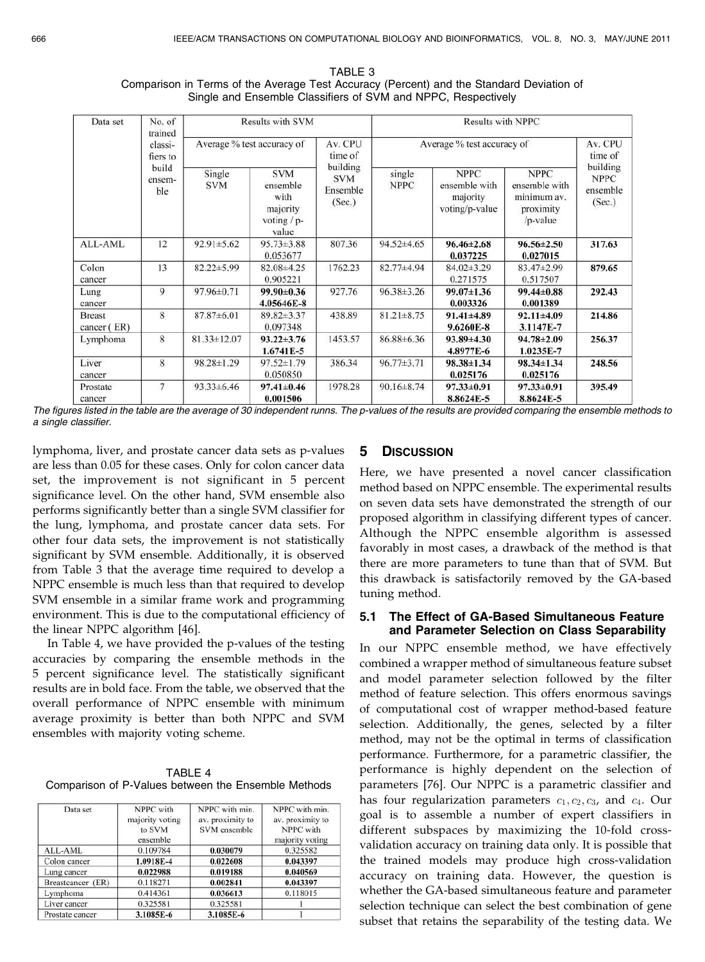TABLE 3 Comparison in Terms of the Average Test Accuracy (Percent) and the Standard Deviation of Single and Ensemble Classifiers of SVM and NPPC, Respectively

| No. of<br>Data set<br>trained |                            | Results with SVM     |                                                                      |                                              | <b>Results with NPPC</b> |                                                            |                                                                         |                                               |
|-------------------------------|----------------------------|----------------------|----------------------------------------------------------------------|----------------------------------------------|--------------------------|------------------------------------------------------------|-------------------------------------------------------------------------|-----------------------------------------------|
| classi-<br>fiers to           | Average % test accuracy of |                      | Av. CPU<br>time of                                                   | Average % test accuracy of                   |                          |                                                            | Av. CPU<br>time of                                                      |                                               |
|                               | build<br>ensem-<br>ble     | Single<br><b>SVM</b> | <b>SVM</b><br>ensemble<br>with<br>majority<br>voting $/p -$<br>value | building<br><b>SVM</b><br>Ensemble<br>(Sec.) | single<br><b>NPPC</b>    | <b>NPPC</b><br>ensemble with<br>majority<br>voting/p-value | <b>NPPC</b><br>ensemble with<br>minimum av.<br>proximity<br>$/p$ -value | building<br><b>NPPC</b><br>ensemble<br>(Sec.) |
| ALL-AML                       | 12                         | $92.91 \pm 5.62$     | $95.73 \pm 3.88$<br>0.053677                                         | 807.36                                       | 94.52±4.65               | $96.46 \pm 2.68$<br>0.037225                               | $96.56 \pm 2.50$<br>0.027015                                            | 317.63                                        |
| Colon<br>cancer               | 13                         | 82.22±5.99           | 82.08±4.25<br>0.905221                                               | 1762.23                                      | 82.77±4.94               | $84.02 \pm 3.29$<br>0.271575                               | $83.47 \pm 2.99$<br>0.517507                                            | 879.65                                        |
| Lung<br>cancer                | 9                          | 97.96±0.71           | 99.90±0.36<br>4.05646E-8                                             | 927.76                                       | $96.38 \pm 3.26$         | 99.07±1.36<br>0.003326                                     | 99.44±0.88<br>0.001389                                                  | 292.43                                        |
| <b>Breast</b><br>cancer (ER)  | 8                          | 87.87±6.01           | $89.82 \pm 3.37$<br>0.097348                                         | 438.89                                       | $81.21 \pm 8.75$         | $91.41 \pm 4.89$<br>9.6260E-8                              | $92.11 \pm 4.09$<br>3.1147E-7                                           | 214.86                                        |
| Lymphoma                      | 8                          | $81.33 \pm 12.07$    | $93.22 \pm 3.76$<br>$1.6741E - 5$                                    | 1453.57                                      | 86.88±6.36               | $93.89 \pm 4.30$<br>4.8977E-6                              | $94.78 \pm 2.09$<br>1.0235E-7                                           | 256.37                                        |
| Liver<br>cancer               | 8                          | 98.28±1.29           | $97.52 \pm 1.79$<br>0.050850                                         | 386.34                                       | $96.77 \pm 3.71$         | $98.38 \pm 1.34$<br>0.025176                               | $98.34 \pm 1.34$<br>0.025176                                            | 248.56                                        |
| Prostate<br>cancer            | 7                          | 93.33±6.46           | $97.41 \pm 0.46$<br>0.001506                                         | 1978.28                                      | 90.16±8.74               | $97.33 \pm 0.91$<br>8.8624E-5                              | $97.33 \pm 0.91$<br>8.8624E-5                                           | 395.49                                        |

The figures listed in the table are the average of 30 independent runns. The p-values of the results are provided comparing the ensemble methods to a single classifier.

lymphoma, liver, and prostate cancer data sets as p-values are less than 0.05 for these cases. Only for colon cancer data set, the improvement is not significant in 5 percent significance level. On the other hand, SVM ensemble also performs significantly better than a single SVM classifier for the lung, lymphoma, and prostate cancer data sets. For other four data sets, the improvement is not statistically significant by SVM ensemble. Additionally, it is observed from Table 3 that the average time required to develop a NPPC ensemble is much less than that required to develop SVM ensemble in a similar frame work and programming environment. This is due to the computational efficiency of the linear NPPC algorithm [46].

In Table 4, we have provided the p-values of the testing accuracies by comparing the ensemble methods in the 5 percent significance level. The statistically significant results are in bold face. From the table, we observed that the overall performance of NPPC ensemble with minimum average proximity is better than both NPPC and SVM ensembles with majority voting scheme.

TABLE 4 Comparison of P-Values between the Ensemble Methods

| Data set          | NPPC with<br>majority voting<br>to SVM<br>ensemble | NPPC with min.<br>av. proximity to<br>SVM ensemble | NPPC with min.<br>av. proximity to<br>NPPC with<br>majority voting |
|-------------------|----------------------------------------------------|----------------------------------------------------|--------------------------------------------------------------------|
| ALL-AML           | 0.109784                                           | 0.030079                                           | 0.325582                                                           |
| Colon cancer      | 1.0918E-4                                          | 0.022608                                           | 0.043397                                                           |
| Lung cancer       | 0.022988                                           | 0.019188                                           | 0.040569                                                           |
| Breastcancer (ER) | 0.118271                                           | 0.002841                                           | 0.043397                                                           |
| Lymphoma          | 0.414361                                           | 0.036613                                           | 0.118015                                                           |
| Liver cancer      | 0.325581                                           | 0.325581                                           |                                                                    |
| Prostate cancer   | 3.1085E-6                                          | 3.1085E-6                                          |                                                                    |

# 5 DISCUSSION

Here, we have presented a novel cancer classification method based on NPPC ensemble. The experimental results on seven data sets have demonstrated the strength of our proposed algorithm in classifying different types of cancer. Although the NPPC ensemble algorithm is assessed favorably in most cases, a drawback of the method is that there are more parameters to tune than that of SVM. But this drawback is satisfactorily removed by the GA-based tuning method.

#### 5.1 The Effect of GA-Based Simultaneous Feature and Parameter Selection on Class Separability

In our NPPC ensemble method, we have effectively combined a wrapper method of simultaneous feature subset and model parameter selection followed by the filter method of feature selection. This offers enormous savings of computational cost of wrapper method-based feature selection. Additionally, the genes, selected by a filter method, may not be the optimal in terms of classification performance. Furthermore, for a parametric classifier, the performance is highly dependent on the selection of parameters [76]. Our NPPC is a parametric classifier and has four regularization parameters  $c_1$ ,  $c_2$ ,  $c_3$ , and  $c_4$ . Our goal is to assemble a number of expert classifiers in different subspaces by maximizing the 10-fold crossvalidation accuracy on training data only. It is possible that the trained models may produce high cross-validation accuracy on training data. However, the question is whether the GA-based simultaneous feature and parameter selection technique can select the best combination of gene subset that retains the separability of the testing data. We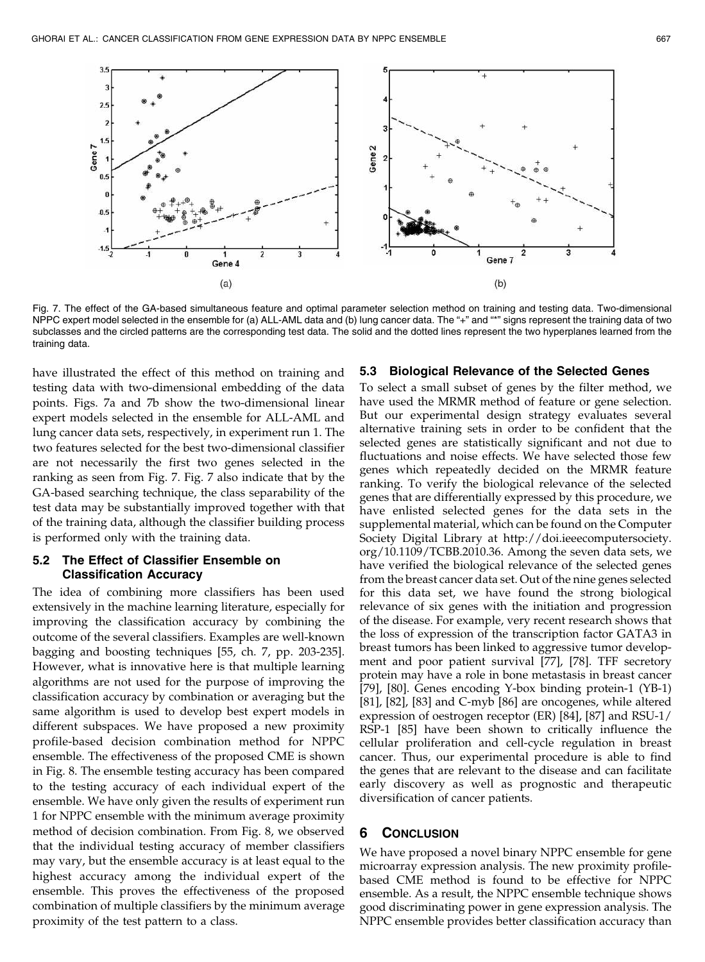

Fig. 7. The effect of the GA-based simultaneous feature and optimal parameter selection method on training and testing data. Two-dimensional NPPC expert model selected in the ensemble for (a) ALL-AML data and (b) lung cancer data. The "+" and "\*" signs represent the training data of two subclasses and the circled patterns are the corresponding test data. The solid and the dotted lines represent the two hyperplanes learned from the training data.

have illustrated the effect of this method on training and testing data with two-dimensional embedding of the data points. Figs. 7a and 7b show the two-dimensional linear expert models selected in the ensemble for ALL-AML and lung cancer data sets, respectively, in experiment run 1. The two features selected for the best two-dimensional classifier are not necessarily the first two genes selected in the ranking as seen from Fig. 7. Fig. 7 also indicate that by the GA-based searching technique, the class separability of the test data may be substantially improved together with that of the training data, although the classifier building process is performed only with the training data.

# 5.2 The Effect of Classifier Ensemble on Classification Accuracy

The idea of combining more classifiers has been used extensively in the machine learning literature, especially for improving the classification accuracy by combining the outcome of the several classifiers. Examples are well-known bagging and boosting techniques [55, ch. 7, pp. 203-235]. However, what is innovative here is that multiple learning algorithms are not used for the purpose of improving the classification accuracy by combination or averaging but the same algorithm is used to develop best expert models in different subspaces. We have proposed a new proximity profile-based decision combination method for NPPC ensemble. The effectiveness of the proposed CME is shown in Fig. 8. The ensemble testing accuracy has been compared to the testing accuracy of each individual expert of the ensemble. We have only given the results of experiment run 1 for NPPC ensemble with the minimum average proximity method of decision combination. From Fig. 8, we observed that the individual testing accuracy of member classifiers may vary, but the ensemble accuracy is at least equal to the highest accuracy among the individual expert of the ensemble. This proves the effectiveness of the proposed combination of multiple classifiers by the minimum average proximity of the test pattern to a class.

#### 5.3 Biological Relevance of the Selected Genes

To select a small subset of genes by the filter method, we have used the MRMR method of feature or gene selection. But our experimental design strategy evaluates several alternative training sets in order to be confident that the selected genes are statistically significant and not due to fluctuations and noise effects. We have selected those few genes which repeatedly decided on the MRMR feature ranking. To verify the biological relevance of the selected genes that are differentially expressed by this procedure, we have enlisted selected genes for the data sets in the supplemental material, which can be found on the Computer Society Digital Library at http://doi.ieeecomputersociety. org/10.1109/TCBB.2010.36. Among the seven data sets, we have verified the biological relevance of the selected genes from the breast cancer data set. Out of the nine genes selected for this data set, we have found the strong biological relevance of six genes with the initiation and progression of the disease. For example, very recent research shows that the loss of expression of the transcription factor GATA3 in breast tumors has been linked to aggressive tumor development and poor patient survival [77], [78]. TFF secretory protein may have a role in bone metastasis in breast cancer [79], [80]. Genes encoding Y-box binding protein-1 (YB-1) [81], [82], [83] and C-myb [86] are oncogenes, while altered expression of oestrogen receptor (ER) [84], [87] and RSU-1/ RSP-1 [85] have been shown to critically influence the cellular proliferation and cell-cycle regulation in breast cancer. Thus, our experimental procedure is able to find the genes that are relevant to the disease and can facilitate early discovery as well as prognostic and therapeutic diversification of cancer patients.

#### 6 CONCLUSION

We have proposed a novel binary NPPC ensemble for gene microarray expression analysis. The new proximity profilebased CME method is found to be effective for NPPC ensemble. As a result, the NPPC ensemble technique shows good discriminating power in gene expression analysis. The NPPC ensemble provides better classification accuracy than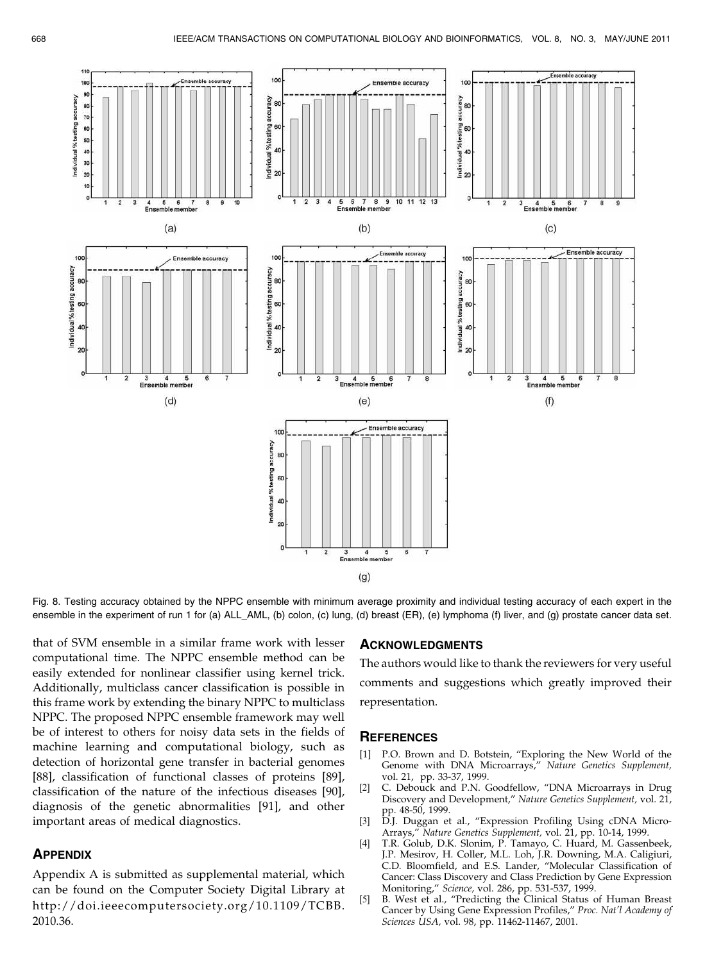

Fig. 8. Testing accuracy obtained by the NPPC ensemble with minimum average proximity and individual testing accuracy of each expert in the ensemble in the experiment of run 1 for (a) ALL\_AML, (b) colon, (c) lung, (d) breast (ER), (e) lymphoma (f) liver, and (g) prostate cancer data set.

that of SVM ensemble in a similar frame work with lesser computational time. The NPPC ensemble method can be easily extended for nonlinear classifier using kernel trick. Additionally, multiclass cancer classification is possible in this frame work by extending the binary NPPC to multiclass NPPC. The proposed NPPC ensemble framework may well be of interest to others for noisy data sets in the fields of machine learning and computational biology, such as detection of horizontal gene transfer in bacterial genomes [88], classification of functional classes of proteins [89], classification of the nature of the infectious diseases [90], diagnosis of the genetic abnormalities [91], and other important areas of medical diagnostics.

# **APPENDIX**

Appendix A is submitted as supplemental material, which can be found on the Computer Society Digital Library at http://doi.ieeecomputersociety.org/10.1109/TCBB. 2010.36.

#### ACKNOWLEDGMENTS

The authors would like to thank the reviewers for very useful comments and suggestions which greatly improved their representation.

#### **REFERENCES**

- [1] P.O. Brown and D. Botstein, "Exploring the New World of the Genome with DNA Microarrays," *Nature Genetics Supplement,* vol. 21, pp. 33-37, 1999.
- [2] C. Debouck and P.N. Goodfellow, "DNA Microarrays in Drug Discovery and Development," *Nature Genetics Supplement,* vol. 21, pp. 48-50, 1999.
- [3] D.J. Duggan et al., "Expression Profiling Using cDNA Micro-Arrays," *Nature Genetics Supplement,* vol. 21, pp. 10-14, 1999.
- [4] T.R. Golub, D.K. Slonim, P. Tamayo, C. Huard, M. Gassenbeek, J.P. Mesirov, H. Coller, M.L. Loh, J.R. Downing, M.A. Caligiuri, C.D. Bloomfield, and E.S. Lander, "Molecular Classification of Cancer: Class Discovery and Class Prediction by Gene Expression Monitoring," *Science,* vol. 286, pp. 531-537, 1999.
- [5] B. West et al., "Predicting the Clinical Status of Human Breast Cancer by Using Gene Expression Profiles," *Proc. Nat'l Academy of Sciences USA,* vol. 98, pp. 11462-11467, 2001.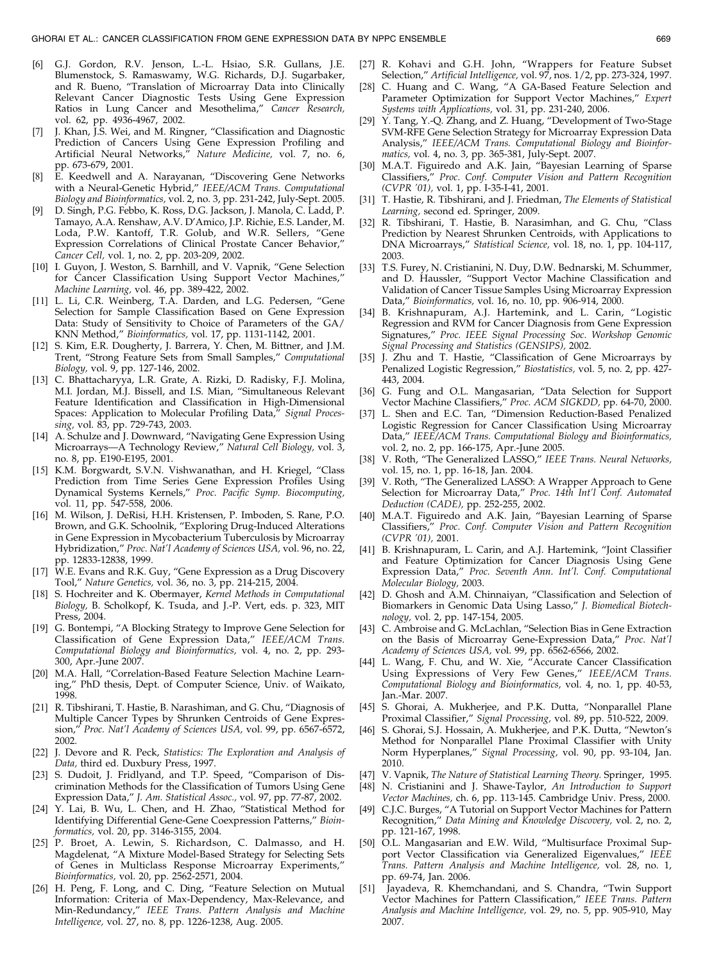- [6] G.J. Gordon, R.V. Jenson, L.-L. Hsiao, S.R. Gullans, J.E. Blumenstock, S. Ramaswamy, W.G. Richards, D.J. Sugarbaker, and R. Bueno, "Translation of Microarray Data into Clinically Relevant Cancer Diagnostic Tests Using Gene Expression Ratios in Lung Cancer and Mesothelima," *Cancer Research,* vol. 62, pp. 4936-4967, 2002.
- [7] J. Khan, J.S. Wei, and M. Ringner, "Classification and Diagnostic Prediction of Cancers Using Gene Expression Profiling and Artificial Neural Networks," *Nature Medicine,* vol. 7, no. 6, pp. 673-679, 2001.
- [8] E. Keedwell and A. Narayanan, "Discovering Gene Networks with a Neural-Genetic Hybrid," *IEEE/ACM Trans. Computational Biology and Bioinformatics,* vol. 2, no. 3, pp. 231-242, July-Sept. 2005.
- D. Singh, P.G. Febbo, K. Ross, D.G. Jackson, J. Manola, C. Ladd, P. Tamayo, A.A. Renshaw, A.V. D'Amico, J.P. Richie, E.S. Lander, M. Loda, P.W. Kantoff, T.R. Golub, and W.R. Sellers, "Gene Expression Correlations of Clinical Prostate Cancer Behavior," *Cancer Cell,* vol. 1, no. 2, pp. 203-209, 2002.
- [10] I. Guyon, J. Weston, S. Barnhill, and V. Vapnik, "Gene Selection for Cancer Classification Using Support Vector Machines," *Machine Learning,* vol. 46, pp. 389-422, 2002.
- [11] L. Li, C.R. Weinberg, T.A. Darden, and L.G. Pedersen, "Gene Selection for Sample Classification Based on Gene Expression Data: Study of Sensitivity to Choice of Parameters of the GA/ KNN Method," *Bioinformatics,* vol. 17, pp. 1131-1142, 2001.
- [12] S. Kim, E.R. Dougherty, J. Barrera, Y. Chen, M. Bittner, and J.M. Trent, "Strong Feature Sets from Small Samples," *Computational Biology,* vol. 9, pp. 127-146, 2002.
- [13] C. Bhattacharyya, L.R. Grate, A. Rizki, D. Radisky, F.J. Molina, M.I. Jordan, M.J. Bissell, and I.S. Mian, "Simultaneous Relevant Feature Identification and Classification in High-Dimensional Spaces: Application to Molecular Profiling Data," *Signal Processing,* vol. 83, pp. 729-743, 2003.
- [14] A. Schulze and J. Downward, "Navigating Gene Expression Using Microarrays—A Technology Review," *Natural Cell Biology,* vol. 3, no. 8, pp. E190-E195, 2001.
- [15] K.M. Borgwardt, S.V.N. Vishwanathan, and H. Kriegel, "Class Prediction from Time Series Gene Expression Profiles Using Dynamical Systems Kernels," *Proc. Pacific Symp. Biocomputing,* vol. 11, pp. 547-558, 2006.
- [16] M. Wilson, J. DeRisi, H.H. Kristensen, P. Imboden, S. Rane, P.O. Brown, and G.K. Schoolnik, "Exploring Drug-Induced Alterations in Gene Expression in Mycobacterium Tuberculosis by Microarray Hybridization," *Proc. Nat'l Academy of Sciences USA,* vol. 96, no. 22, pp. 12833-12838, 1999.
- [17] W.E. Evans and R.K. Guy, "Gene Expression as a Drug Discovery Tool," *Nature Genetics,* vol. 36, no. 3, pp. 214-215, 2004.
- [18] S. Hochreiter and K. Obermayer, *Kernel Methods in Computational Biology,* B. Scholkopf, K. Tsuda, and J.-P. Vert, eds. p. 323, MIT Press, 2004.
- [19] G. Bontempi, "A Blocking Strategy to Improve Gene Selection for Classification of Gene Expression Data," *IEEE/ACM Trans. Computational Biology and Bioinformatics,* vol. 4, no. 2, pp. 293- 300, Apr.-June 2007.
- [20] M.A. Hall, "Correlation-Based Feature Selection Machine Learning," PhD thesis, Dept. of Computer Science, Univ. of Waikato, 1998.
- [21] R. Tibshirani, T. Hastie, B. Narashiman, and G. Chu, "Diagnosis of Multiple Cancer Types by Shrunken Centroids of Gene Expression," *Proc. Nat'l Academy of Sciences USA,* vol. 99, pp. 6567-6572, 2002.
- [22] J. Devore and R. Peck, *Statistics: The Exploration and Analysis of Data,* third ed. Duxbury Press, 1997.
- [23] S. Dudoit, J. Fridlyand, and T.P. Speed, "Comparison of Discrimination Methods for the Classification of Tumors Using Gene Expression Data," *J. Am. Statistical Assoc.,* vol. 97, pp. 77-87, 2002.
- [24] Y. Lai, B. Wu, L. Chen, and H. Zhao, "Statistical Method for Identifying Differential Gene-Gene Coexpression Patterns," *Bioinformatics,* vol. 20, pp. 3146-3155, 2004.
- [25] P. Broet, A. Lewin, S. Richardson, C. Dalmasso, and H. Magdelenat, "A Mixture Model-Based Strategy for Selecting Sets of Genes in Multiclass Response Microarray Experiments," *Bioinformatics,* vol. 20, pp. 2562-2571, 2004.
- [26] H. Peng, F. Long, and C. Ding, "Feature Selection on Mutual Information: Criteria of Max-Dependency, Max-Relevance, and Min-Redundancy," *IEEE Trans. Pattern Analysis and Machine Intelligence,* vol. 27, no. 8, pp. 1226-1238, Aug. 2005.
- [27] R. Kohavi and G.H. John, "Wrappers for Feature Subset Selection," *Artificial Intelligence,* vol. 97, nos. 1/2, pp. 273-324, 1997.
- C. Huang and C. Wang, "A GA-Based Feature Selection and Parameter Optimization for Support Vector Machines," *Expert Systems with Applications,* vol. 31, pp. 231-240, 2006.
- [29] Y. Tang, Y.-Q. Zhang, and Z. Huang, "Development of Two-Stage SVM-RFE Gene Selection Strategy for Microarray Expression Data Analysis," *IEEE/ACM Trans. Computational Biology and Bioinformatics,* vol. 4, no. 3, pp. 365-381, July-Sept. 2007.
- [30] M.A.T. Figuiredo and A.K. Jain, "Bayesian Learning of Sparse Classifiers," *Proc. Conf. Computer Vision and Pattern Recognition (CVPR '01),* vol. 1, pp. I-35-I-41, 2001.
- [31] T. Hastie, R. Tibshirani, and J. Friedman, *The Elements of Statistical Learning,* second ed. Springer, 2009.
- [32] R. Tibshirani, T. Hastie, B. Narasimhan, and G. Chu, "Class Prediction by Nearest Shrunken Centroids, with Applications to DNA Microarrays," *Statistical Science,* vol. 18, no. 1, pp. 104-117, 2003.
- [33] T.S. Furey, N. Cristianini, N. Duy, D.W. Bednarski, M. Schummer, and D. Haussler, "Support Vector Machine Classification and Validation of Cancer Tissue Samples Using Microarray Expression Data," *Bioinformatics,* vol. 16, no. 10, pp. 906-914, 2000.
- [34] B. Krishnapuram, A.J. Hartemink, and L. Carin, "Logistic Regression and RVM for Cancer Diagnosis from Gene Expression Signatures," *Proc. IEEE Signal Processing Soc. Workshop Genomic Signal Processing and Statistics (GENSIPS),* 2002.
- [35] J. Zhu and T. Hastie, "Classification of Gene Microarrays by Penalized Logistic Regression," *Biostatistics,* vol. 5, no. 2, pp. 427- 443, 2004.
- [36] G. Fung and O.L. Mangasarian, "Data Selection for Support Vector Machine Classifiers," *Proc. ACM SIGKDD,* pp. 64-70, 2000.
- [37] L. Shen and E.C. Tan, "Dimension Reduction-Based Penalized Logistic Regression for Cancer Classification Using Microarray Data," *IEEE/ACM Trans. Computational Biology and Bioinformatics,* vol. 2, no. 2, pp. 166-175, Apr.-June 2005.
- [38] V. Roth, "The Generalized LASSO," *IEEE Trans. Neural Networks,* vol. 15, no. 1, pp. 16-18, Jan. 2004.
- [39] V. Roth, "The Generalized LASSO: A Wrapper Approach to Gene Selection for Microarray Data," *Proc. 14th Int'l Conf. Automated Deduction (CADE),* pp. 252-255, 2002.
- [40] M.A.T. Figuiredo and A.K. Jain, "Bayesian Learning of Sparse Classifiers," *Proc. Conf. Computer Vision and Pattern Recognition (CVPR '01),* 2001.
- [41] B. Krishnapuram, L. Carin, and A.J. Hartemink, "Joint Classifier and Feature Optimization for Cancer Diagnosis Using Gene Expression Data," *Proc. Seventh Ann. Int'l. Conf. Computational Molecular Biology,* 2003.
- [42] D. Ghosh and A.M. Chinnaiyan, "Classification and Selection of Biomarkers in Genomic Data Using Lasso," *J. Biomedical Biotechnology,* vol. 2, pp. 147-154, 2005.
- [43] C. Ambroise and G. McLachlan, "Selection Bias in Gene Extraction on the Basis of Microarray Gene-Expression Data," *Proc. Nat'l Academy of Sciences USA,* vol. 99, pp. 6562-6566, 2002.
- [44] L. Wang, F. Chu, and W. Xie, "Accurate Cancer Classification Using Expressions of Very Few Genes," *IEEE/ACM Trans. Computational Biology and Bioinformatics,* vol. 4, no. 1, pp. 40-53, Jan.-Mar. 2007.
- [45] S. Ghorai, A. Mukherjee, and P.K. Dutta, "Nonparallel Plane Proximal Classifier," *Signal Processing,* vol. 89, pp. 510-522, 2009.
- [46] S. Ghorai, S.J. Hossain, A. Mukherjee, and P.K. Dutta, "Newton's Method for Nonparallel Plane Proximal Classifier with Unity Norm Hyperplanes," *Signal Processing,* vol. 90, pp. 93-104, Jan. 2010.
- [47] V. Vapnik, *The Nature of Statistical Learning Theory.* Springer, 1995.
- [48] N. Cristianini and J. Shawe-Taylor, *An Introduction to Support Vector Machines,* ch. 6, pp. 113-145. Cambridge Univ. Press, 2000.
- [49] C.J.C. Burges, "A Tutorial on Support Vector Machines for Pattern Recognition," *Data Mining and Knowledge Discovery,* vol. 2, no. 2, pp. 121-167, 1998.
- [50] O.L. Mangasarian and E.W. Wild, "Multisurface Proximal Support Vector Classification via Generalized Eigenvalues," *IEEE Trans. Pattern Analysis and Machine Intelligence,* vol. 28, no. 1, pp. 69-74, Jan. 2006.
- [51] Jayadeva, R. Khemchandani, and S. Chandra, "Twin Support Vector Machines for Pattern Classification," *IEEE Trans. Pattern Analysis and Machine Intelligence,* vol. 29, no. 5, pp. 905-910, May 2007.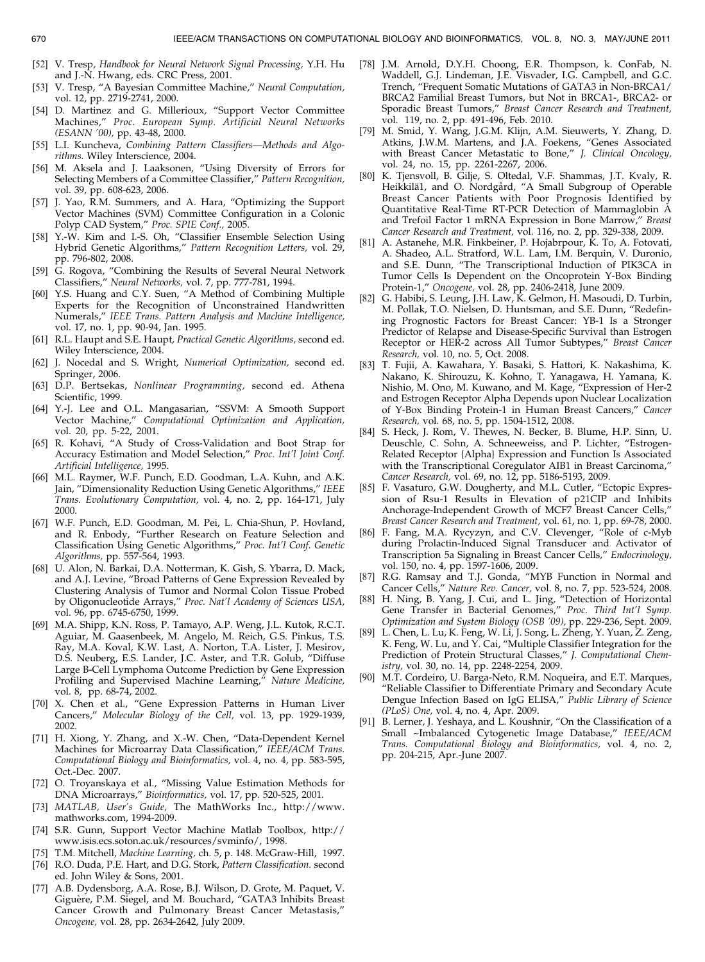- [52] V. Tresp, *Handbook for Neural Network Signal Processing,* Y.H. Hu and J.-N. Hwang, eds. CRC Press, 2001.
- [53] V. Tresp, "A Bayesian Committee Machine," *Neural Computation,* vol. 12, pp. 2719-2741, 2000.
- [54] D. Martinez and G. Millerioux, "Support Vector Committee Machines," *Proc. European Symp. Artificial Neural Networks (ESANN '00),* pp. 43-48, 2000.
- [55] L.I. Kuncheva, *Combining Pattern Classifiers—Methods and Algorithms.* Wiley Interscience, 2004.
- [56] M. Aksela and J. Laaksonen, "Using Diversity of Errors for Selecting Members of a Committee Classifier," *Pattern Recognition,* vol. 39, pp. 608-623, 2006.
- [57] J. Yao, R.M. Summers, and A. Hara, "Optimizing the Support Vector Machines (SVM) Committee Configuration in a Colonic Polyp CAD System," *Proc. SPIE Conf.,* 2005.
- [58] Y.-W. Kim and I.-S. Oh, "Classifier Ensemble Selection Using Hybrid Genetic Algorithms," *Pattern Recognition Letters,* vol. 29, pp. 796-802, 2008.
- [59] G. Rogova, "Combining the Results of Several Neural Network Classifiers," *Neural Networks,* vol. 7, pp. 777-781, 1994.
- [60] Y.S. Huang and C.Y. Suen, "A Method of Combining Multiple Experts for the Recognition of Unconstrained Handwritten Numerals," *IEEE Trans. Pattern Analysis and Machine Intelligence,* vol. 17, no. 1, pp. 90-94, Jan. 1995.
- [61] R.L. Haupt and S.E. Haupt, *Practical Genetic Algorithms,* second ed. Wiley Interscience, 2004.
- [62] J. Nocedal and S. Wright, *Numerical Optimization,* second ed. Springer, 2006.
- [63] D.P. Bertsekas, *Nonlinear Programming,* second ed. Athena Scientific, 1999.
- [64] Y.-J. Lee and O.L. Mangasarian, "SSVM: A Smooth Support Vector Machine," *Computational Optimization and Application,* vol. 20, pp. 5-22, 2001.
- [65] R. Kohavi, "A Study of Cross-Validation and Boot Strap for Accuracy Estimation and Model Selection," *Proc. Int'l Joint Conf. Artificial Intelligence,* 1995.
- [66] M.L. Raymer, W.F. Punch, E.D. Goodman, L.A. Kuhn, and A.K. Jain, "Dimensionality Reduction Using Genetic Algorithms," *IEEE Trans. Evolutionary Computation,* vol. 4, no. 2, pp. 164-171, July 2000.
- [67] W.F. Punch, E.D. Goodman, M. Pei, L. Chia-Shun, P. Hovland, and R. Enbody, "Further Research on Feature Selection and Classification Using Genetic Algorithms," *Proc. Int'l Conf. Genetic Algorithms,* pp. 557-564, 1993.
- [68] U. Alon, N. Barkai, D.A. Notterman, K. Gish, S. Ybarra, D. Mack, and A.J. Levine, "Broad Patterns of Gene Expression Revealed by Clustering Analysis of Tumor and Normal Colon Tissue Probed by Oligonucleotide Arrays," *Proc. Nat'l Academy of Sciences USA,* vol. 96, pp. 6745-6750, 1999.
- [69] M.A. Shipp, K.N. Ross, P. Tamayo, A.P. Weng, J.L. Kutok, R.C.T. Aguiar, M. Gaasenbeek, M. Angelo, M. Reich, G.S. Pinkus, T.S. Ray, M.A. Koval, K.W. Last, A. Norton, T.A. Lister, J. Mesirov, D.S. Neuberg, E.S. Lander, J.C. Aster, and T.R. Golub, "Diffuse Large B-Cell Lymphoma Outcome Prediction by Gene Expression Profiling and Supervised Machine Learning," *Nature Medicine,* vol. 8, pp. 68-74, 2002.
- [70] X. Chen et al., "Gene Expression Patterns in Human Liver Cancers," *Molecular Biology of the Cell,* vol. 13, pp. 1929-1939, 2002.
- [71] H. Xiong, Y. Zhang, and X.-W. Chen, "Data-Dependent Kernel Machines for Microarray Data Classification," *IEEE/ACM Trans. Computational Biology and Bioinformatics,* vol. 4, no. 4, pp. 583-595, Oct.-Dec. 2007.
- [72] O. Troyanskaya et al., "Missing Value Estimation Methods for DNA Microarrays," *Bioinformatics,* vol. 17, pp. 520-525, 2001.
- [73] *MATLAB, User's Guide,* The MathWorks Inc., http://www. mathworks.com, 1994-2009.
- [74] S.R. Gunn, Support Vector Machine Matlab Toolbox, http:// www.isis.ecs.soton.ac.uk/resources/svminfo/, 1998.
- [75] T.M. Mitchell, *Machine Learning,* ch. 5, p. 148. McGraw-Hill, 1997.
- [76] R.O. Duda, P.E. Hart, and D.G. Stork, *Pattern Classification.* second ed. John Wiley & Sons, 2001.
- [77] A.B. Dydensborg, A.A. Rose, B.J. Wilson, D. Grote, M. Paquet, V. Giguère, P.M. Siegel, and M. Bouchard, "GATA3 Inhibits Breast Cancer Growth and Pulmonary Breast Cancer Metastasis," *Oncogene,* vol. 28, pp. 2634-2642, July 2009.
- [78] J.M. Arnold, D.Y.H. Choong, E.R. Thompson, k. ConFab, N. Waddell, G.J. Lindeman, J.E. Visvader, I.G. Campbell, and G.C. Trench, "Frequent Somatic Mutations of GATA3 in Non-BRCA1/ BRCA2 Familial Breast Tumors, but Not in BRCA1-, BRCA2- or Sporadic Breast Tumors," *Breast Cancer Research and Treatment,* vol. 119, no. 2, pp. 491-496, Feb. 2010.
- [79] M. Smid, Y. Wang, J.G.M. Klijn, A.M. Sieuwerts, Y. Zhang, D. Atkins, J.W.M. Martens, and J.A. Foekens, "Genes Associated with Breast Cancer Metastatic to Bone," *J. Clinical Oncology,* vol. 24, no. 15, pp. 2261-2267, 2006.
- [80] K. Tjensvoll, B. Gilje, S. Oltedal, V.F. Shammas, J.T. Kvaly, R. Heikkilä1, and O. Nordgård, "A Small Subgroup of Operable Breast Cancer Patients with Poor Prognosis Identified by Quantitative Real-Time RT-PCR Detection of Mammaglobin A and Trefoil Factor 1 mRNA Expression in Bone Marrow," *Breast Cancer Research and Treatment,* vol. 116, no. 2, pp. 329-338, 2009.
- [81] A. Astanehe, M.R. Finkbeiner, P. Hojabrpour, K. To, A. Fotovati, A. Shadeo, A.L. Stratford, W.L. Lam, I.M. Berquin, V. Duronio, and S.E. Dunn, "The Transcriptional Induction of PIK3CA in Tumor Cells Is Dependent on the Oncoprotein Y-Box Binding Protein-1," *Oncogene,* vol. 28, pp. 2406-2418, June 2009.
- [82] G. Habibi, S. Leung, J.H. Law, K. Gelmon, H. Masoudi, D. Turbin, M. Pollak, T.O. Nielsen, D. Huntsman, and S.E. Dunn, "Redefining Prognostic Factors for Breast Cancer: YB-1 Is a Stronger Predictor of Relapse and Disease-Specific Survival than Estrogen Receptor or HER-2 across All Tumor Subtypes," *Breast Cancer Research,* vol. 10, no. 5, Oct. 2008.
- [83] T. Fujii, A. Kawahara, Y. Basaki, S. Hattori, K. Nakashima, K. Nakano, K. Shirouzu, K. Kohno, T. Yanagawa, H. Yamana, K. Nishio, M. Ono, M. Kuwano, and M. Kage, "Expression of Her-2 and Estrogen Receptor Alpha Depends upon Nuclear Localization of Y-Box Binding Protein-1 in Human Breast Cancers," *Cancer Research,* vol. 68, no. 5, pp. 1504-1512, 2008.
- [84] S. Heck, J. Rom, V. Thewes, N. Becker, B. Blume, H.P. Sinn, U. Deuschle, C. Sohn, A. Schneeweiss, and P. Lichter, "Estrogen-Related Receptor {Alpha} Expression and Function Is Associated with the Transcriptional Coregulator AIB1 in Breast Carcinoma," *Cancer Research,* vol. 69, no. 12, pp. 5186-5193, 2009.
- [85] F. Vasaturo, G.W. Dougherty, and M.L. Cutler, "Ectopic Expression of Rsu-1 Results in Elevation of p21CIP and Inhibits Anchorage-Independent Growth of MCF7 Breast Cancer Cells," *Breast Cancer Research and Treatment,* vol. 61, no. 1, pp. 69-78, 2000.
- [86] F. Fang, M.A. Rycyzyn, and C.V. Clevenger, "Role of c-Myb during Prolactin-Induced Signal Transducer and Activator of Transcription 5a Signaling in Breast Cancer Cells," *Endocrinology,* vol. 150, no. 4, pp. 1597-1606, 2009.
- [87] R.G. Ramsay and T.J. Gonda, "MYB Function in Normal and Cancer Cells," *Nature Rev. Cancer,* vol. 8, no. 7, pp. 523-524, 2008.
- [88] H. Ning, B. Yang, J. Cui, and L. Jing, "Detection of Horizontal Gene Transfer in Bacterial Genomes," *Proc. Third Int'l Symp. Optimization and System Biology (OSB '09),* pp. 229-236, Sept. 2009.
- [89] L. Chen, L. Lu, K. Feng, W. Li, J. Song, L. Zheng, Y. Yuan, Z. Zeng, K. Feng, W. Lu, and Y. Cai, "Multiple Classifier Integration for the Prediction of Protein Structural Classes," *J. Computational Chemistry,* vol. 30, no. 14, pp. 2248-2254, 2009.
- [90] M.T. Cordeiro, U. Barga-Neto, R.M. Noqueira, and E.T. Marques, "Reliable Classifier to Differentiate Primary and Secondary Acute Dengue Infection Based on IgG ELISA," *Public Library of Science (PLoS) One,* vol. 4, no. 4, Apr. 2009.
- [91] B. Lerner, J. Yeshaya, and L. Koushnir, "On the Classification of a Small ~Imbalanced Cytogenetic Image Database," *IEEE/ACM Trans. Computational Biology and Bioinformatics,* vol. 4, no. 2, pp. 204-215, Apr.-June 2007.